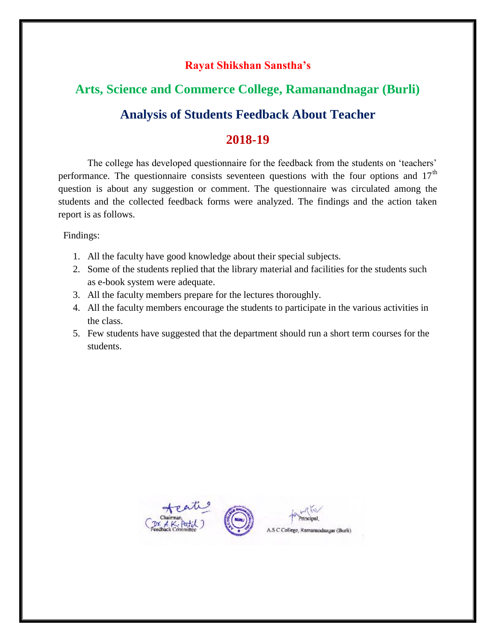# **Arts, Science and Commerce College, Ramanandnagar (Burli) Analysis of Students Feedback About Teacher**

### **2018-19**

 The college has developed questionnaire for the feedback from the students on 'teachers' performance. The questionnaire consists seventeen questions with the four options and  $17<sup>th</sup>$ question is about any suggestion or comment. The questionnaire was circulated among the students and the collected feedback forms were analyzed. The findings and the action taken report is as follows.

Findings:

- 1. All the faculty have good knowledge about their special subjects.
- 2. Some of the students replied that the library material and facilities for the students such as e-book system were adequate.
- 3. All the faculty members prepare for the lectures thoroughly.
- 4. All the faculty members encourage the students to participate in the various activities in the class.
- 5. Few students have suggested that the department should run a short term courses for the students.





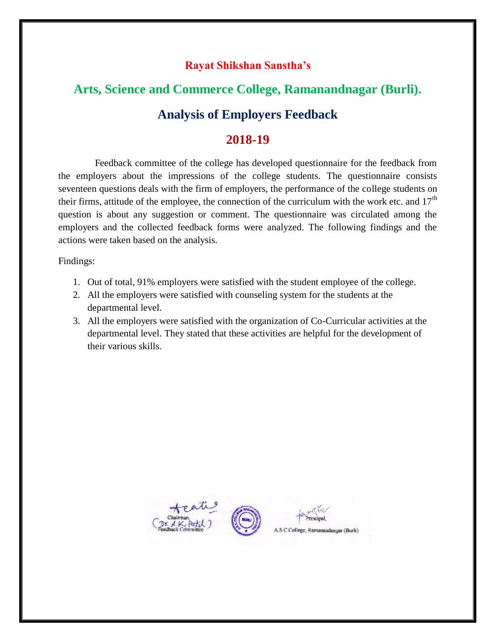# **Arts, Science and Commerce College, Ramanandnagar (Burli). Analysis of Employers Feedback**

### **2018-19**

 Feedback committee of the college has developed questionnaire for the feedback from the employers about the impressions of the college students. The questionnaire consists seventeen questions deals with the firm of employers, the performance of the college students on their firms, attitude of the employee, the connection of the curriculum with the work etc. and  $17<sup>th</sup>$ question is about any suggestion or comment. The questionnaire was circulated among the employers and the collected feedback forms were analyzed. The following findings and the actions were taken based on the analysis.

Findings:

- 1. Out of total, 91% employers were satisfied with the student employee of the college.
- 2. All the employers were satisfied with counseling system for the students at the departmental level.
- 3. All the employers were satisfied with the organization of Co-Curricular activities at the departmental level. They stated that these activities are helpful for the development of their various skills.





 $R_{12}$ Principal, A.S.C.College, Ramanandnagar (Burli)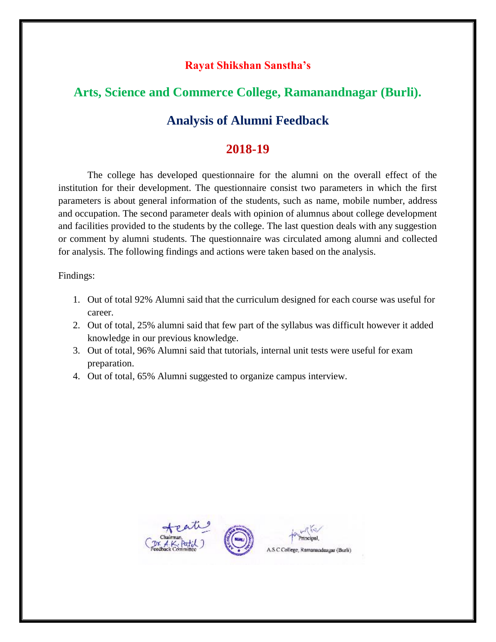### **Arts, Science and Commerce College, Ramanandnagar (Burli).**

### **Analysis of Alumni Feedback**

### **2018-19**

 The college has developed questionnaire for the alumni on the overall effect of the institution for their development. The questionnaire consist two parameters in which the first parameters is about general information of the students, such as name, mobile number, address and occupation. The second parameter deals with opinion of alumnus about college development and facilities provided to the students by the college. The last question deals with any suggestion or comment by alumni students. The questionnaire was circulated among alumni and collected for analysis. The following findings and actions were taken based on the analysis.

Findings:

- 1. Out of total 92% Alumni said that the curriculum designed for each course was useful for career.
- 2. Out of total, 25% alumni said that few part of the syllabus was difficult however it added knowledge in our previous knowledge.
- 3. Out of total, 96% Alumni said that tutorials, internal unit tests were useful for exam preparation.
- 4. Out of total, 65% Alumni suggested to organize campus interview.





A.S.C College, Ramanandnagar (Burli)